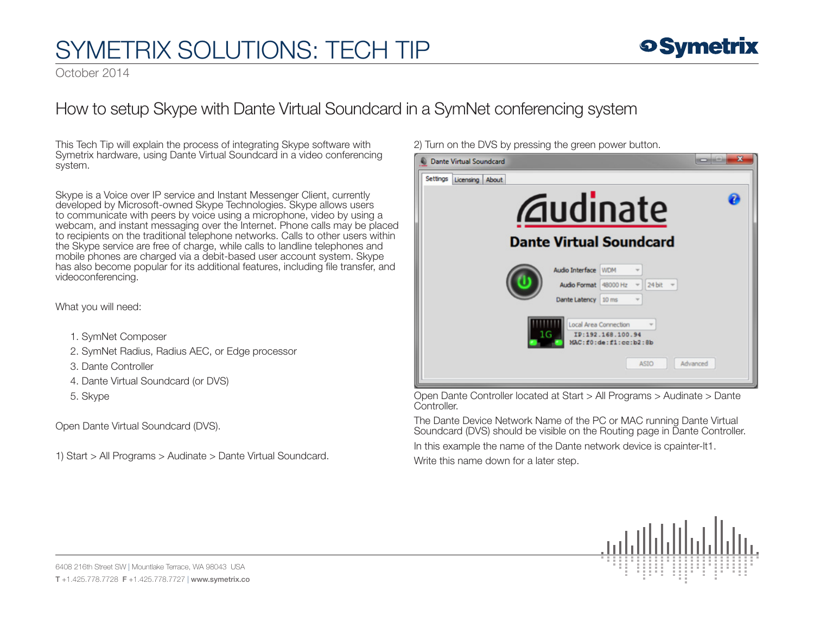October 2014

### How to setup Skype with Dante Virtual Soundcard in a SymNet conferencing system

This Tech Tip will explain the process of integrating Skype software with Symetrix hardware, using Dante Virtual Soundcard in a video conferencing system.

Skype is a Voice over IP service and Instant Messenger Client, currently developed by Microsoft-owned Skype Technologies. Skype allows users to communicate with peers by voice using a microphone, video by using a webcam, and instant messaging over the Internet. Phone calls may be placed to recipients on the traditional telephone networks. Calls to other users within the Skype service are free of charge, while calls to landline telephones and mobile phones are charged via a debit-based user account system. Skype has also become popular for its additional features, including file transfer, and videoconferencing.

What you will need:

- 1. SymNet Composer
- 2. SymNet Radius, Radius AEC, or Edge processor
- 3. Dante Controller
- 4. Dante Virtual Soundcard (or DVS)
- 5. Skype

Open Dante Virtual Soundcard (DVS).

1) Start > All Programs > Audinate > Dante Virtual Soundcard.

2) Turn on the DVS by pressing the green power button.

| $\mathbf x$<br><b>Dante Virtual Soundcard</b>                                                        |
|------------------------------------------------------------------------------------------------------|
| Settings<br>About<br>Licensing                                                                       |
| 2<br><i><b>Zaudinate</b></i>                                                                         |
| <b>Dante Virtual Soundcard</b>                                                                       |
| Audio Interface WDM<br>Audio Format 48000 Hz<br>24 bit                                               |
| Dante Latency 10 ms                                                                                  |
| Local Area Connection<br>IP:192.168.100.94<br>16<br>MAC:f0:de:f1:cc:b2:8b<br>Advanced<br><b>ASIO</b> |

Open Dante Controller located at Start > All Programs > Audinate > Dante Controller.

The Dante Device Network Name of the PC or MAC running Dante Virtual Soundcard (DVS) should be visible on the Routing page in Dante Controller.

In this example the name of the Dante network device is cpainter-lt1.

Write this name down for a later step.

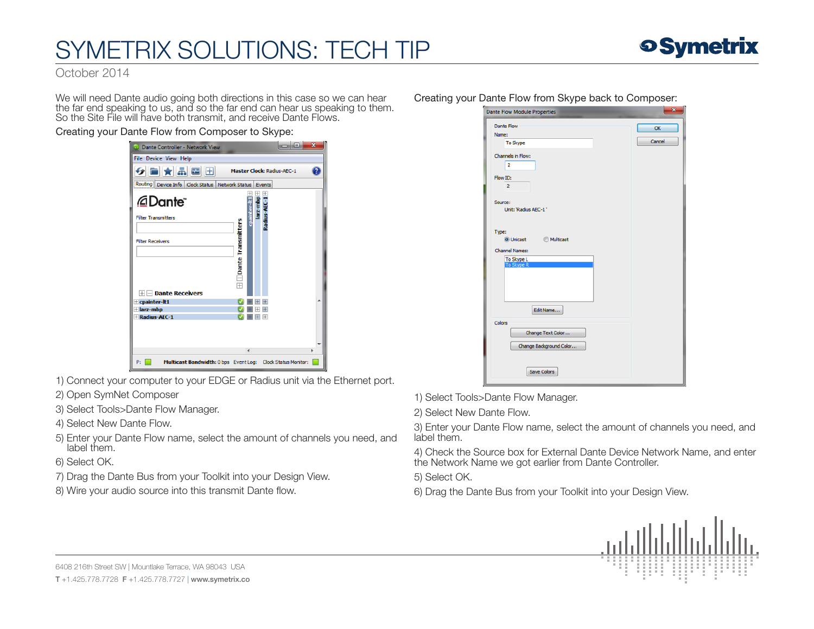

October 2014

We will need Dante audio going both directions in this case so we can hear the far end speaking to us, and so the far end can hear us speaking to them. So the Site File will have both transmit, and receive Dante Flows.

#### Creating your Dante Flow from Composer to Skype:

| Dante Controller - Network View                                   |                                 |          |            |                                   | $\mathbf{x}$<br>▣ |  |
|-------------------------------------------------------------------|---------------------------------|----------|------------|-----------------------------------|-------------------|--|
| File Device View Help                                             |                                 |          |            |                                   |                   |  |
| $9$ - $\star$ $\star$ $\circ$ $\circ$                             |                                 |          |            | <b>Master Clock: Radius-AEC-1</b> |                   |  |
| Routing   Device Info   Clock Status   Network Status   Events    |                                 |          |            |                                   |                   |  |
| <i>©</i> Dante"                                                   |                                 | cpainter | larz-mopi+ | +<br>Radius-AEC-1                 |                   |  |
| <b>Filter Transmitters</b>                                        |                                 |          |            |                                   |                   |  |
|                                                                   |                                 |          |            |                                   |                   |  |
| <b>Filter Receivers</b>                                           |                                 |          |            |                                   |                   |  |
|                                                                   |                                 |          |            |                                   |                   |  |
|                                                                   | $\pm$ $\Box$ Dante Transmitters |          |            |                                   |                   |  |
|                                                                   |                                 |          |            |                                   |                   |  |
|                                                                   |                                 |          |            |                                   |                   |  |
| $\Box$ Dante Receivers                                            |                                 |          |            |                                   |                   |  |
| $+$ cpainter-lt1<br>$Hl$ larz-mbp                                 |                                 |          |            |                                   |                   |  |
| + Radius-AEC-1                                                    |                                 |          |            | $^{+}$                            |                   |  |
|                                                                   |                                 |          |            |                                   |                   |  |
|                                                                   |                                 |          |            |                                   |                   |  |
|                                                                   |                                 |          |            |                                   |                   |  |
|                                                                   |                                 | ∢        |            |                                   | ь                 |  |
| Multicast Bandwidth: 0 bps Event Log: Clock Status Monitor:<br>P: |                                 |          |            |                                   |                   |  |

1) Connect your computer to your EDGE or Radius unit via the Ethernet port.

- 2) Open SymNet Composer
- 3) Select Tools>Dante Flow Manager.
- 4) Select New Dante Flow.
- 5) Enter your Dante Flow name, select the amount of channels you need, and label them.
- 6) Select OK.
- 7) Drag the Dante Bus from your Toolkit into your Design View.
- 8) Wire your audio source into this transmit Dante flow.

#### Creating your Dante Flow from Skype back to Composer:

| <b>Dante Flow</b>        | $\alpha$ |
|--------------------------|----------|
| Name:                    |          |
| <b>To Skype</b>          | Cancel   |
| Channels in Flow:        |          |
| $\overline{2}$           |          |
| Flow ID:                 |          |
| $\overline{2}$           |          |
| Source:                  |          |
| Unit: 'Radius AEC-1'     |          |
|                          |          |
|                          |          |
| Type:                    |          |
|                          |          |
| ◎ Unicast ◎ Multicast    |          |
|                          |          |
| <b>Channel Names:</b>    |          |
|                          |          |
| To Skype L<br>To Skype R |          |
|                          |          |
|                          |          |
|                          |          |
|                          |          |
| Edit Name                |          |
|                          |          |
| Colors                   |          |
| Change Text Color        |          |
|                          |          |
| Change Background Color  |          |
|                          |          |

1) Select Tools>Dante Flow Manager.

2) Select New Dante Flow.

3) Enter your Dante Flow name, select the amount of channels you need, and label them.

4) Check the Source box for External Dante Device Network Name, and enter the Network Name we got earlier from Dante Controller.

- 5) Select OK.
- 6) Drag the Dante Bus from your Toolkit into your Design View.



6408 216th Street SW | Mountlake Terrace, WA 98043 USA T +1.425.778.7728 F +1.425.778.7727 | www.symetrix.co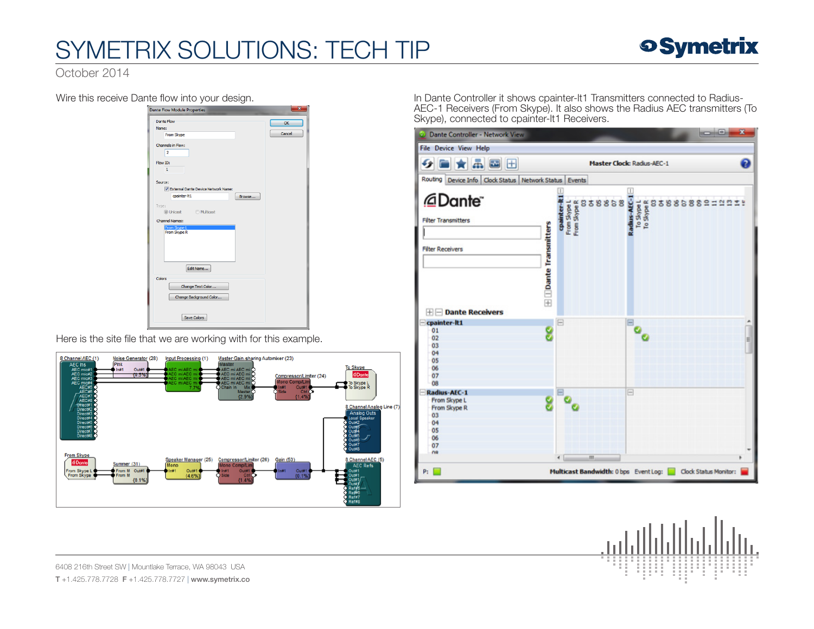

October 2014

Wire this receive Dante flow into your design.

| $\cdots$<br>J<br><b>Dante Flow Module Properties</b>  | . טי   | ×            |
|-------------------------------------------------------|--------|--------------|
| <b>Dante Flow</b><br>Name:<br>From Skype              |        | OK<br>Cancel |
| Channels in Flow:<br>$\overline{2}$                   |        |              |
| Flow ID:<br>$\mathbf{1}$                              |        |              |
| Source:<br>V External Dante Device Network Name:      |        |              |
| cpainter-lt1<br>Type:<br>◎ Unicast ● Multicast        | Browse |              |
| <b>Channel Names:</b><br>From Skype L<br>From Skype R |        |              |
|                                                       |        |              |
| Edit Name                                             |        |              |
| Colors<br>Change Text Color                           |        |              |
| Change Background Color                               |        |              |
| <b>Save Colors</b>                                    |        |              |

Here is the site file that we are working with for this example.



In Dante Controller it shows cpainter-lt1 Transmitters connected to Radius-AEC-1 Receivers (From Skype). It also shows the Radius AEC transmitters (To Skype), connected to cpainter-lt1 Receivers.

| Dante Controller - Network View                                                |                                 |                                          |                                   |  |   |  |  |  |  | <b>ICHO</b> |  | $\mathbf{x}$ |   |
|--------------------------------------------------------------------------------|---------------------------------|------------------------------------------|-----------------------------------|--|---|--|--|--|--|-------------|--|--------------|---|
| <b>File Device View Help</b>                                                   |                                 |                                          |                                   |  |   |  |  |  |  |             |  |              |   |
| ★品圖田                                                                           |                                 |                                          | <b>Master Clock: Radius-AEC-1</b> |  |   |  |  |  |  |             |  |              |   |
| Routing Device Info Clock Status Network Status Events                         |                                 |                                          |                                   |  |   |  |  |  |  |             |  |              |   |
| @Dante <sup>-</sup><br><b>Filter Transmitters</b><br><b>Filter Receivers</b>   | $\pm$ $\Box$ Dante Transmitters | From Skype L<br>From Skype R<br>cpainter | 838868                            |  |   |  |  |  |  |             |  |              |   |
| <b>HIE Dante Receivers</b><br>cpainter-lt1<br>01<br>02<br>03<br>04<br>05<br>06 |                                 | ۳                                        |                                   |  |   |  |  |  |  |             |  |              | É |
| 07<br>08<br>Radius-AEC-1                                                       |                                 |                                          |                                   |  | E |  |  |  |  |             |  |              |   |
| From Skype L<br>From Skype R<br>03<br>04<br>05<br>06<br>07<br><b>OB</b>        |                                 |                                          |                                   |  |   |  |  |  |  |             |  |              |   |
|                                                                                |                                 | $\epsilon$                               | m                                 |  |   |  |  |  |  |             |  |              |   |



6408 216th Street SW | Mountlake Terrace, WA 98043 USA T +1.425.778.7728 F +1.425.778.7727 | www.symetrix.co